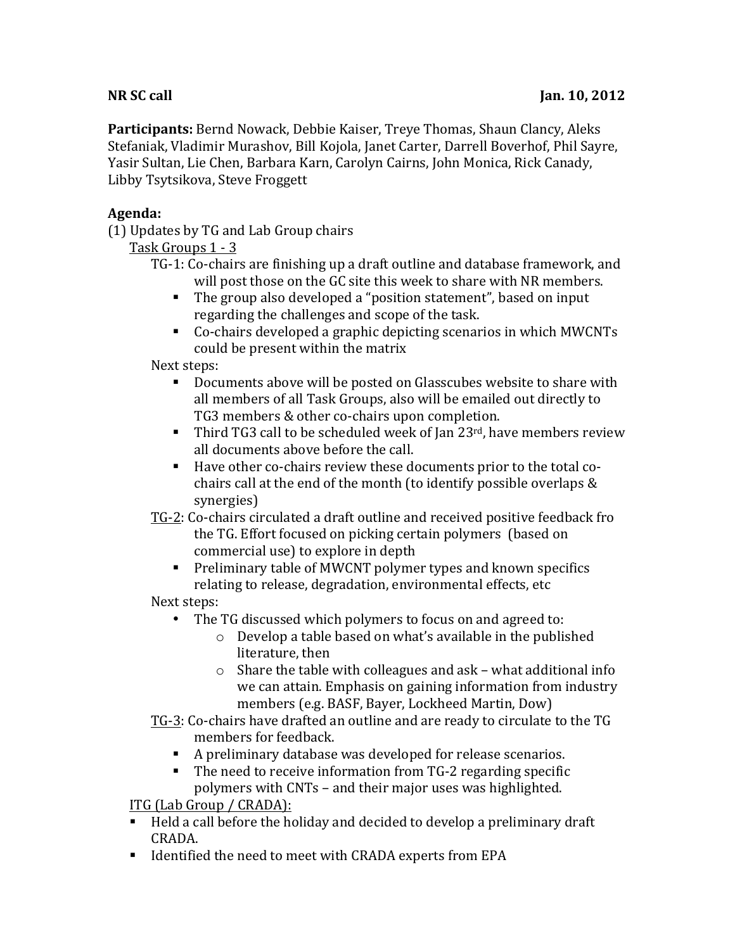**Participants:** Bernd Nowack, Debbie Kaiser, Treye Thomas, Shaun Clancy, Aleks Stefaniak, Vladimir Murashov, Bill Kojola, Janet Carter, Darrell Boverhof, Phil Sayre, Yasir Sultan, Lie Chen, Barbara Karn, Carolyn Cairns, John Monica, Rick Canady, Libby Tsytsikova, Steve Froggett

## **Agenda:**

(1) Updates by TG and Lab Group chairs

Task Groups 1 - 3

TG-1: Co-chairs are finishing up a draft outline and database framework, and will post those on the GC site this week to share with NR members.

- The group also developed a "position statement", based on input regarding the challenges and scope of the task.
- Co-chairs developed a graphic depicting scenarios in which MWCNTs could be present within the matrix

Next steps:

- Documents above will be posted on Glasscubes website to share with all members of all Task Groups, also will be emailed out directly to TG3 members & other co-chairs upon completion.
- **•** Third TG3 call to be scheduled week of Jan  $23^{rd}$ , have members review all documents above before the call.
- Have other co-chairs review these documents prior to the total cochairs call at the end of the month (to identify possible overlaps  $&$ synergies)
- TG-2: Co-chairs circulated a draft outline and received positive feedback fro the TG. Effort focused on picking certain polymers (based on commercial use) to explore in depth
	- Preliminary table of MWCNT polymer types and known specifics relating to release, degradation, environmental effects, etc

Next steps:

- The TG discussed which polymers to focus on and agreed to:
	- $\circ$  Develop a table based on what's available in the published literature, then
	- $\circ$  Share the table with colleagues and ask what additional info we can attain. Emphasis on gaining information from industry members (e.g. BASF, Bayer, Lockheed Martin, Dow)
- TG-3: Co-chairs have drafted an outline and are ready to circulate to the TG members for feedback.
	- A preliminary database was developed for release scenarios.
	- The need to receive information from TG-2 regarding specific polymers with CNTs – and their major uses was highlighted.

ITG (Lab Group / CRADA):

- Held a call before the holiday and decided to develop a preliminary draft CRADA.
- Identified the need to meet with CRADA experts from EPA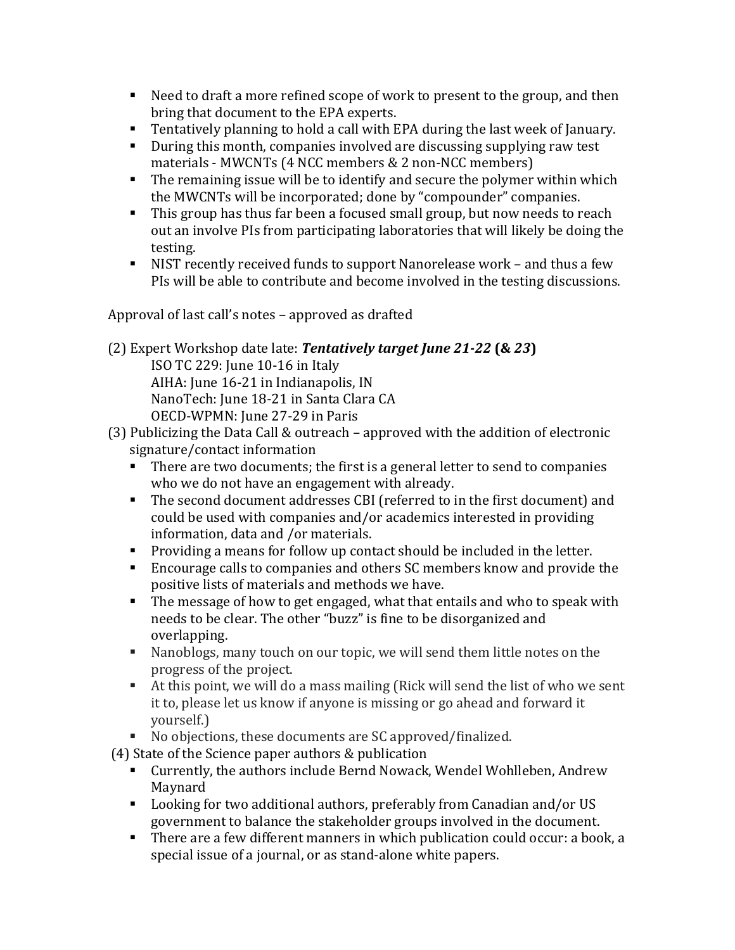- Need to draft a more refined scope of work to present to the group, and then bring that document to the EPA experts.
- **•** Tentatively planning to hold a call with EPA during the last week of January.
- During this month, companies involved are discussing supplying raw test materials - MWCNTs (4 NCC members & 2 non-NCC members)
- $\blacksquare$  The remaining issue will be to identify and secure the polymer within which the MWCNTs will be incorporated; done by "compounder" companies.
- This group has thus far been a focused small group, but now needs to reach out an involve PIs from participating laboratories that will likely be doing the testing.
- NIST recently received funds to support Nanorelease work and thus a few PIs will be able to contribute and become involved in the testing discussions.

Approval of last call's notes – approved as drafted

(2) Expert Workshop date late: *Tentatively target June 21-22* **(&** *23***)** ISO TC 229: June 10-16 in Italy AIHA: June 16-21 in Indianapolis, IN

NanoTech: June 18-21 in Santa Clara CA

OECD-WPMN: June 27-29 in Paris

- (3) Publicizing the Data Call & outreach approved with the addition of electronic signature/contact information
	- There are two documents; the first is a general letter to send to companies who we do not have an engagement with already.
	- **•** The second document addresses CBI (referred to in the first document) and could be used with companies and/or academics interested in providing information, data and /or materials.
	- Providing a means for follow up contact should be included in the letter.
	- Encourage calls to companies and others SC members know and provide the positive lists of materials and methods we have.
	- $\blacksquare$  The message of how to get engaged, what that entails and who to speak with needs to be clear. The other "buzz" is fine to be disorganized and overlapping.
	- Kanoblogs, many touch on our topic, we will send them little notes on the progress of the project.
	- $\blacksquare$  At this point, we will do a mass mailing (Rick will send the list of who we sent it to, please let us know if anyone is missing or go ahead and forward it yourself.)
	- No objections, these documents are SC approved/finalized.

 $(4)$  State of the Science paper authors & publication

- Currently, the authors include Bernd Nowack, Wendel Wohlleben, Andrew Maynard
- Looking for two additional authors, preferably from Canadian and/or US government to balance the stakeholder groups involved in the document.
- There are a few different manners in which publication could occur: a book, a special issue of a journal, or as stand-alone white papers.